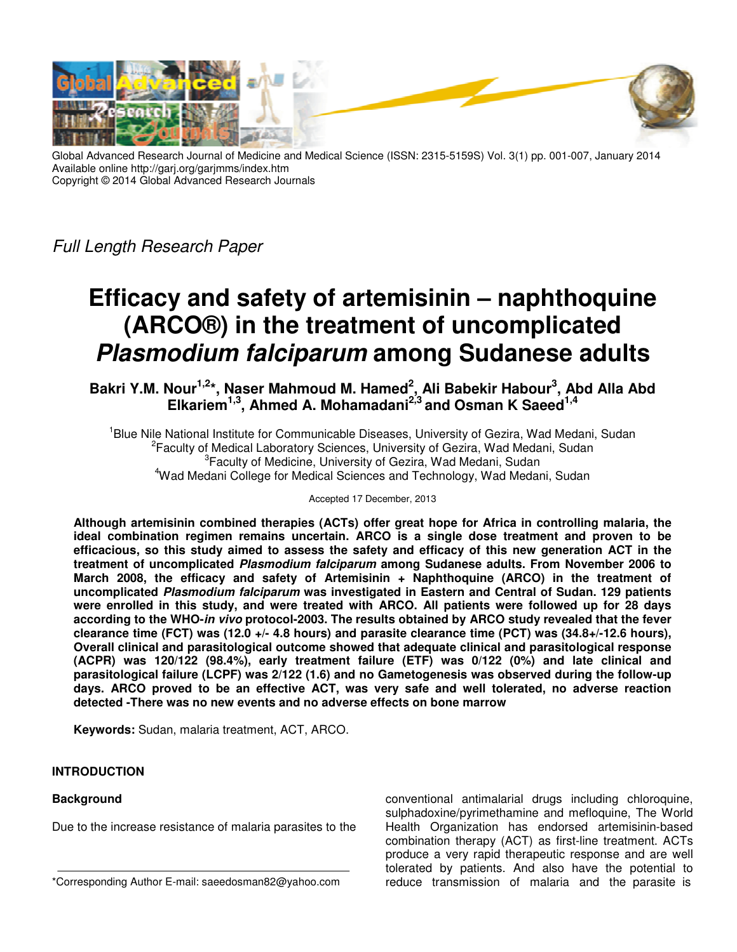

Global Advanced Research Journal of Medicine and Medical Science (ISSN: 2315-5159S) Vol. 3(1) pp. 001-007, January 2014 Available online http://garj.org/garjmms/index.htm Copyright © 2014 Global Advanced Research Journals

*Full Length Research Paper* 

# **Efficacy and safety of artemisinin – naphthoquine (ARCO®) in the treatment of uncomplicated Plasmodium falciparum among Sudanese adults**

**Bakri Y.M. Nour1,2\*, Naser Mahmoud M. Hamed<sup>2</sup> , Ali Babekir Habour<sup>3</sup> , Abd Alla Abd Elkariem1,3, Ahmed A. Mohamadani2,3 and Osman K Saeed1,4**

<sup>1</sup>Blue Nile National Institute for Communicable Diseases, University of Gezira, Wad Medani, Sudan <sup>2</sup> Faculty of Medical Laboratory Sciences, University of Gezira, Wad Medani, Sudan <sup>3</sup> Faculty of Medicine, University of Gezira, Wad Medani, Sudan <sup>4</sup>Wad Medani College for Medical Sciences and Technology, Wad Medani, Sudan

Accepted 17 December, 2013

**Although artemisinin combined therapies (ACTs) offer great hope for Africa in controlling malaria, the ideal combination regimen remains uncertain. ARCO is a single dose treatment and proven to be efficacious, so this study aimed to assess the safety and efficacy of this new generation ACT in the treatment of uncomplicated Plasmodium falciparum among Sudanese adults. From November 2006 to March 2008, the efficacy and safety of Artemisinin + Naphthoquine (ARCO) in the treatment of uncomplicated Plasmodium falciparum was investigated in Eastern and Central of Sudan. 129 patients were enrolled in this study, and were treated with ARCO. All patients were followed up for 28 days according to the WHO-in vivo protocol-2003. The results obtained by ARCO study revealed that the fever clearance time (FCT) was (12.0 +/- 4.8 hours) and parasite clearance time (PCT) was (34.8+/-12.6 hours), Overall clinical and parasitological outcome showed that adequate clinical and parasitological response (ACPR) was 120/122 (98.4%), early treatment failure (ETF) was 0/122 (0%) and late clinical and parasitological failure (LCPF) was 2/122 (1.6) and no Gametogenesis was observed during the follow-up days. ARCO proved to be an effective ACT, was very safe and well tolerated, no adverse reaction detected -There was no new events and no adverse effects on bone marrow** 

**Keywords:** Sudan, malaria treatment, ACT, ARCO.

## **INTRODUCTION**

## **Background**

Due to the increase resistance of malaria parasites to the

conventional antimalarial drugs including chloroquine, sulphadoxine/pyrimethamine and mefloquine, The World Health Organization has endorsed artemisinin-based combination therapy (ACT) as first-line treatment. ACTs produce a very rapid therapeutic response and are well tolerated by patients. And also have the potential to reduce transmission of malaria and the parasite is

<sup>\*</sup>Corresponding Author E-mail: saeedosman82@yahoo.com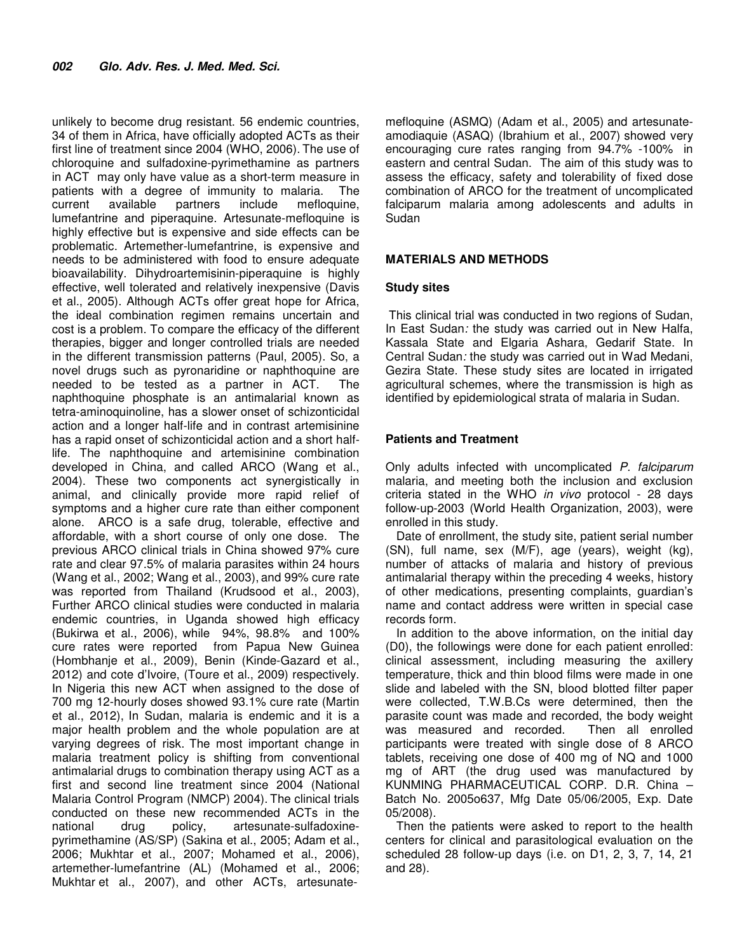unlikely to become drug resistant. 56 endemic countries, 34 of them in Africa, have officially adopted ACTs as their first line of treatment since 2004 (WHO, 2006). The use of chloroquine and sulfadoxine-pyrimethamine as partners in ACT may only have value as a short-term measure in patients with a degree of immunity to malaria. The current available partners include mefloquine, lumefantrine and piperaquine. Artesunate-mefloquine is highly effective but is expensive and side effects can be problematic. Artemether-lumefantrine, is expensive and needs to be administered with food to ensure adequate bioavailability. Dihydroartemisinin-piperaquine is highly effective, well tolerated and relatively inexpensive (Davis et al., 2005). Although ACTs offer great hope for Africa, the ideal combination regimen remains uncertain and cost is a problem. To compare the efficacy of the different therapies, bigger and longer controlled trials are needed in the different transmission patterns (Paul, 2005). So, a novel drugs such as pyronaridine or naphthoquine are needed to be tested as a partner in ACT. The naphthoquine phosphate is an antimalarial known as tetra-aminoquinoline, has a slower onset of schizonticidal action and a longer half-life and in contrast artemisinine has a rapid onset of schizonticidal action and a short halflife. The naphthoquine and artemisinine combination developed in China, and called ARCO (Wang et al., 2004). These two components act synergistically in animal, and clinically provide more rapid relief of symptoms and a higher cure rate than either component alone. ARCO is a safe drug, tolerable, effective and affordable, with a short course of only one dose. The previous ARCO clinical trials in China showed 97% cure rate and clear 97.5% of malaria parasites within 24 hours (Wang et al., 2002; Wang et al., 2003), and 99% cure rate was reported from Thailand (Krudsood et al., 2003), Further ARCO clinical studies were conducted in malaria endemic countries, in Uganda showed high efficacy (Bukirwa et al., 2006), while 94%, 98.8% and 100% cure rates were reported from Papua New Guinea (Hombhanje et al., 2009), Benin (Kinde-Gazard et al., 2012) and cote d'Ivoire, (Toure et al., 2009) respectively. In Nigeria this new ACT when assigned to the dose of 700 mg 12-hourly doses showed 93.1% cure rate (Martin et al., 2012), In Sudan, malaria is endemic and it is a major health problem and the whole population are at varying degrees of risk. The most important change in malaria treatment policy is shifting from conventional antimalarial drugs to combination therapy using ACT as a first and second line treatment since 2004 (National Malaria Control Program (NMCP) 2004). The clinical trials conducted on these new recommended ACTs in the national drug policy, artesunate-sulfadoxinepyrimethamine (AS/SP) (Sakina et al., 2005; Adam et al., 2006; Mukhtar et al., 2007; Mohamed et al., 2006), artemether-lumefantrine (AL) (Mohamed et al., 2006; Mukhtar et al., 2007), and other ACTs, artesunatemefloquine (ASMQ) (Adam et al., 2005) and artesunateamodiaquie (ASAQ) (Ibrahium et al., 2007) showed very encouraging cure rates ranging from 94.7% -100% in eastern and central Sudan. The aim of this study was to assess the efficacy, safety and tolerability of fixed dose combination of ARCO for the treatment of uncomplicated falciparum malaria among adolescents and adults in Sudan

## **MATERIALS AND METHODS**

## **Study sites**

 This clinical trial was conducted in two regions of Sudan, In East Sudan*:* the study was carried out in New Halfa, Kassala State and Elgaria Ashara, Gedarif State. In Central Sudan*:* the study was carried out in Wad Medani, Gezira State. These study sites are located in irrigated agricultural schemes, where the transmission is high as identified by epidemiological strata of malaria in Sudan.

## **Patients and Treatment**

Only adults infected with uncomplicated *P. falciparum* malaria, and meeting both the inclusion and exclusion criteria stated in the WHO *in vivo* protocol - 28 days follow-up-2003 (World Health Organization, 2003), were enrolled in this study.

Date of enrollment, the study site, patient serial number (SN), full name, sex (M/F), age (years), weight (kg), number of attacks of malaria and history of previous antimalarial therapy within the preceding 4 weeks, history of other medications, presenting complaints, guardian's name and contact address were written in special case records form.

In addition to the above information, on the initial day (D0), the followings were done for each patient enrolled: clinical assessment, including measuring the axillery temperature, thick and thin blood films were made in one slide and labeled with the SN, blood blotted filter paper were collected, T.W.B.Cs were determined, then the parasite count was made and recorded, the body weight was measured and recorded. Then all enrolled participants were treated with single dose of 8 ARCO tablets, receiving one dose of 400 mg of NQ and 1000 mg of ART (the drug used was manufactured by KUNMING PHARMACEUTICAL CORP. D.R. China – Batch No. 2005o637, Mfg Date 05/06/2005, Exp. Date 05/2008).

Then the patients were asked to report to the health centers for clinical and parasitological evaluation on the scheduled 28 follow-up days (i.e. on D1, 2, 3, 7, 14, 21 and 28).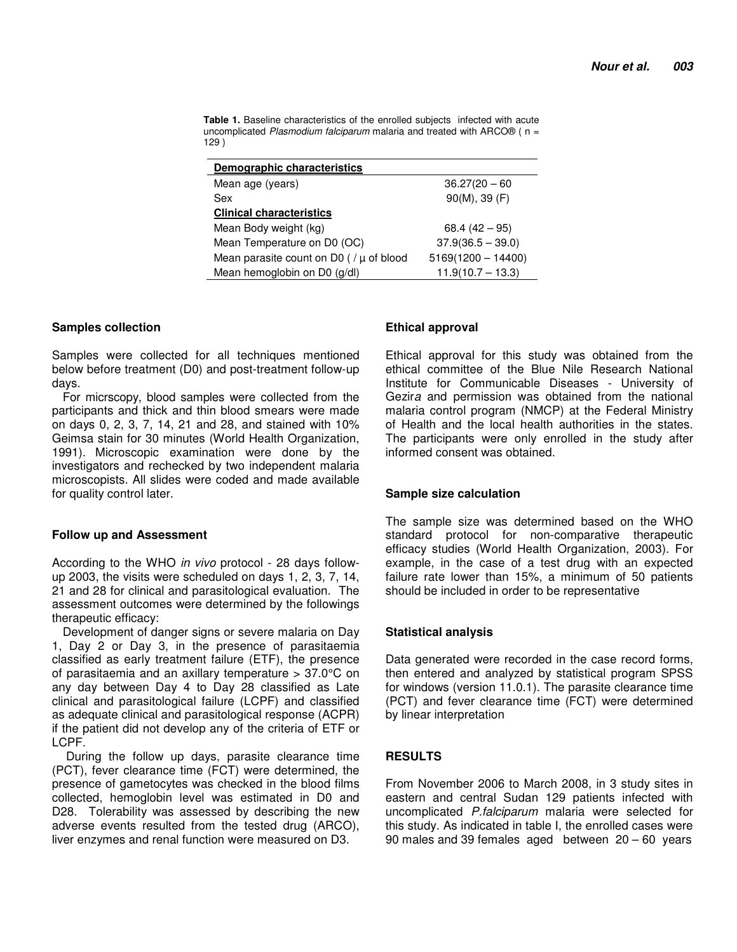**Table 1.** Baseline characteristics of the enrolled subjects infected with acute uncomplicated *Plasmodium falciparum* malaria and treated with ARCO® ( n = 129 )

| Demographic characteristics                 |                      |  |  |
|---------------------------------------------|----------------------|--|--|
| Mean age (years)                            | $36.27(20 - 60)$     |  |  |
| Sex                                         | 90(M), 39(F)         |  |  |
| <b>Clinical characteristics</b>             |                      |  |  |
| Mean Body weight (kg)                       | $68.4(42-95)$        |  |  |
| Mean Temperature on D0 (OC)                 | $37.9(36.5 - 39.0)$  |  |  |
| Mean parasite count on D0 ( $/\mu$ of blood | $5169(1200 - 14400)$ |  |  |
| Mean hemoglobin on D0 (g/dl)                | $11.9(10.7 - 13.3)$  |  |  |

#### **Samples collection**

Samples were collected for all techniques mentioned below before treatment (D0) and post-treatment follow-up days.

For micrscopy, blood samples were collected from the participants and thick and thin blood smears were made on days 0, 2, 3, 7, 14, 21 and 28, and stained with 10% Geimsa stain for 30 minutes (World Health Organization, 1991). Microscopic examination were done by the investigators and rechecked by two independent malaria microscopists. All slides were coded and made available for quality control later.

#### **Follow up and Assessment**

According to the WHO *in vivo* protocol - 28 days followup 2003, the visits were scheduled on days 1, 2, 3, 7, 14, 21 and 28 for clinical and parasitological evaluation. The assessment outcomes were determined by the followings therapeutic efficacy:

Development of danger signs or severe malaria on Day 1, Day 2 or Day 3, in the presence of parasitaemia classified as early treatment failure (ETF), the presence of parasitaemia and an axillary temperature > 37.0°C on any day between Day 4 to Day 28 classified as Late clinical and parasitological failure (LCPF) and classified as adequate clinical and parasitological response (ACPR) if the patient did not develop any of the criteria of ETF or LCPF.

 During the follow up days, parasite clearance time (PCT), fever clearance time (FCT) were determined, the presence of gametocytes was checked in the blood films collected, hemoglobin level was estimated in D0 and D28. Tolerability was assessed by describing the new adverse events resulted from the tested drug (ARCO), liver enzymes and renal function were measured on D3.

## **Ethical approval**

Ethical approval for this study was obtained from the ethical committee of the Blue Nile Research National Institute for Communicable Diseases - University of Gezir*a* and permission was obtained from the national malaria control program (NMCP) at the Federal Ministry of Health and the local health authorities in the states. The participants were only enrolled in the study after informed consent was obtained.

#### **Sample size calculation**

The sample size was determined based on the WHO standard protocol for non-comparative therapeutic efficacy studies (World Health Organization, 2003). For example, in the case of a test drug with an expected failure rate lower than 15%, a minimum of 50 patients should be included in order to be representative

## **Statistical analysis**

Data generated were recorded in the case record forms, then entered and analyzed by statistical program SPSS for windows (version 11.0.1). The parasite clearance time (PCT) and fever clearance time (FCT) were determined by linear interpretation

## **RESULTS**

From November 2006 to March 2008, in 3 study sites in eastern and central Sudan 129 patients infected with uncomplicated *P.falciparum* malaria were selected for this study. As indicated in table I, the enrolled cases were 90 males and 39 females aged between 20 – 60 years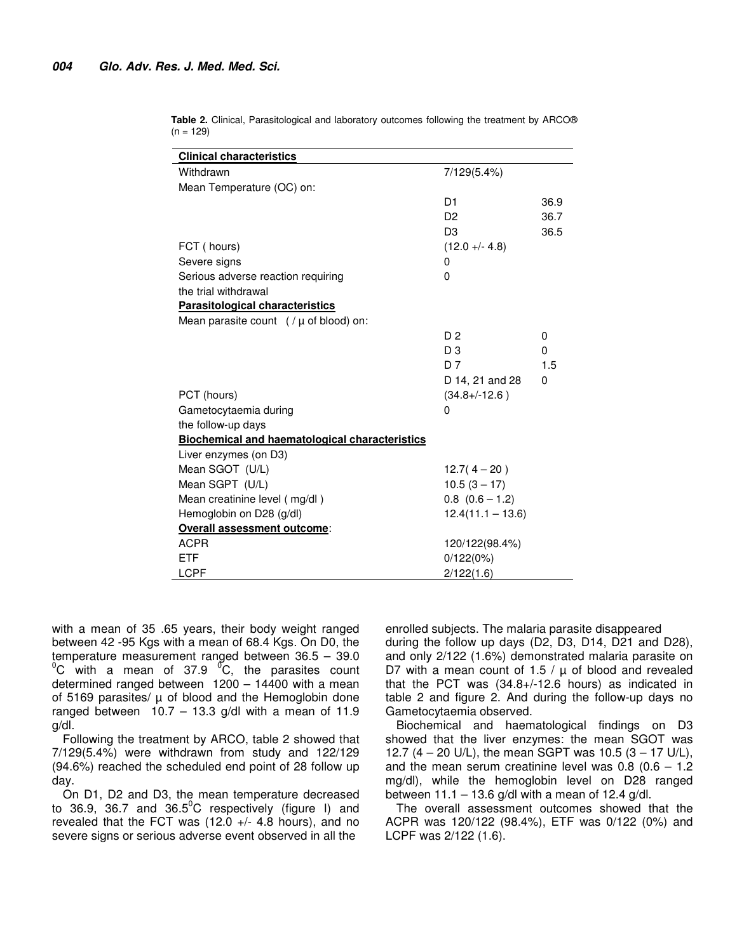| <b>Clinical characteristics</b>                       |                     |          |
|-------------------------------------------------------|---------------------|----------|
| Withdrawn                                             | 7/129(5.4%)         |          |
| Mean Temperature (OC) on:                             |                     |          |
|                                                       | D1                  | 36.9     |
|                                                       | D <sub>2</sub>      | 36.7     |
|                                                       | D <sub>3</sub>      | 36.5     |
| FCT (hours)                                           | $(12.0 + - 4.8)$    |          |
| Severe signs                                          | 0                   |          |
| Serious adverse reaction requiring                    | 0                   |          |
| the trial withdrawal                                  |                     |          |
| <b>Parasitological characteristics</b>                |                     |          |
| Mean parasite count $($ / $\mu$ of blood) on:         |                     |          |
|                                                       | D <sub>2</sub>      | 0        |
|                                                       | D <sub>3</sub>      | $\Omega$ |
|                                                       | D <sub>7</sub>      | 1.5      |
|                                                       | D 14, 21 and 28     | $\Omega$ |
| PCT (hours)                                           | $(34.8 + (-12.6))$  |          |
| Gametocytaemia during                                 | $\Omega$            |          |
| the follow-up days                                    |                     |          |
| <b>Biochemical and haematological characteristics</b> |                     |          |
| Liver enzymes (on D3)                                 |                     |          |
| Mean SGOT (U/L)                                       | $12.7(4-20)$        |          |
| Mean SGPT (U/L)                                       | $10.5(3 - 17)$      |          |
| Mean creatinine level (mg/dl)                         | $0.8$ $(0.6 - 1.2)$ |          |
| Hemoglobin on D28 (g/dl)                              | $12.4(11.1 - 13.6)$ |          |
| Overall assessment outcome:                           |                     |          |
| <b>ACPR</b>                                           | 120/122(98.4%)      |          |
| ETF                                                   | 0/122(0%)           |          |
| <b>LCPF</b>                                           | 2/122(1.6)          |          |

**Table 2.** Clinical, Parasitological and laboratory outcomes following the treatment by ARCO®  $(n = 129)$ 

with a mean of 35 .65 years, their body weight ranged between 42 -95 Kgs with a mean of 68.4 Kgs. On D0, the temperature measurement ranged between 36.5 – 39.0  $\mathrm{^{0}C}$  with a mean of 37.9  $\mathrm{^{0}C}$ , the parasites count determined ranged between 1200 – 14400 with a mean of 5169 parasites/  $\mu$  of blood and the Hemoglobin done ranged between  $10.7 - 13.3$  g/dl with a mean of 11.9 g/dl.

Following the treatment by ARCO, table 2 showed that 7/129(5.4%) were withdrawn from study and 122/129 (94.6%) reached the scheduled end point of 28 follow up day.

On D1, D2 and D3, the mean temperature decreased to 36.9, 36.7 and 36.5 $^{\circ}$ C respectively (figure I) and revealed that the FCT was  $(12.0 +/- 4.8$  hours), and no severe signs or serious adverse event observed in all the

enrolled subjects. The malaria parasite disappeared during the follow up days (D2, D3, D14, D21 and D28), and only 2/122 (1.6%) demonstrated malaria parasite on D7 with a mean count of  $1.5 / \mu$  of blood and revealed that the PCT was (34.8+/-12.6 hours) as indicated in table 2 and figure 2. And during the follow-up days no Gametocytaemia observed.

Biochemical and haematological findings on D3 showed that the liver enzymes: the mean SGOT was 12.7  $(4 - 20 \text{ U/L})$ , the mean SGPT was 10.5  $(3 - 17 \text{ U/L})$ , and the mean serum creatinine level was  $0.8$  ( $0.6 - 1.2$ ) mg/dl), while the hemoglobin level on D28 ranged between  $11.1 - 13.6$  g/dl with a mean of 12.4 g/dl.

The overall assessment outcomes showed that the ACPR was 120/122 (98.4%), ETF was 0/122 (0%) and LCPF was 2/122 (1.6).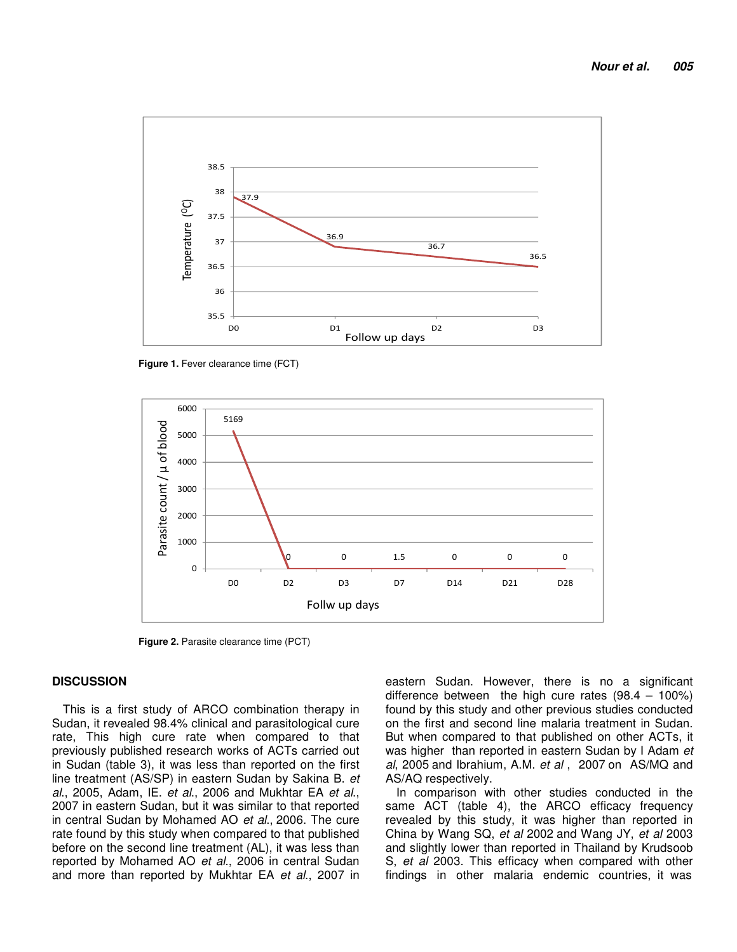

Figure 1. Fever clearance time (FCT)



**Figure 2.** Parasite clearance time (PCT)

## **DISCUSSION**

This is a first study of ARCO combination therapy in Sudan, it revealed 98.4% clinical and parasitological cure rate, This high cure rate when compared to that previously published research works of ACTs carried out in Sudan (table 3), it was less than reported on the first line treatment (AS/SP) in eastern Sudan by Sakina B. *et al*., 2005, Adam, IE. *et al*., 2006 and Mukhtar EA *et al*., 2007 in eastern Sudan, but it was similar to that reported in central Sudan by Mohamed AO *et al*., 2006. The cure rate found by this study when compared to that published before on the second line treatment (AL), it was less than reported by Mohamed AO *et al*., 2006 in central Sudan and more than reported by Mukhtar EA *et al*., 2007 in

eastern Sudan. However, there is no a significant difference between the high cure rates (98.4 – 100%) found by this study and other previous studies conducted on the first and second line malaria treatment in Sudan. But when compared to that published on other ACTs, it was higher than reported in eastern Sudan by I Adam *et al*, 2005 and Ibrahium, A.M. *et al* , 2007 on AS/MQ and AS/AQ respectively.

In comparison with other studies conducted in the same ACT (table 4), the ARCO efficacy frequency revealed by this study, it was higher than reported in China by Wang SQ, *et al* 2002 and Wang JY, *et al* 2003 and slightly lower than reported in Thailand by Krudsoob S, *et al* 2003. This efficacy when compared with other findings in other malaria endemic countries, it was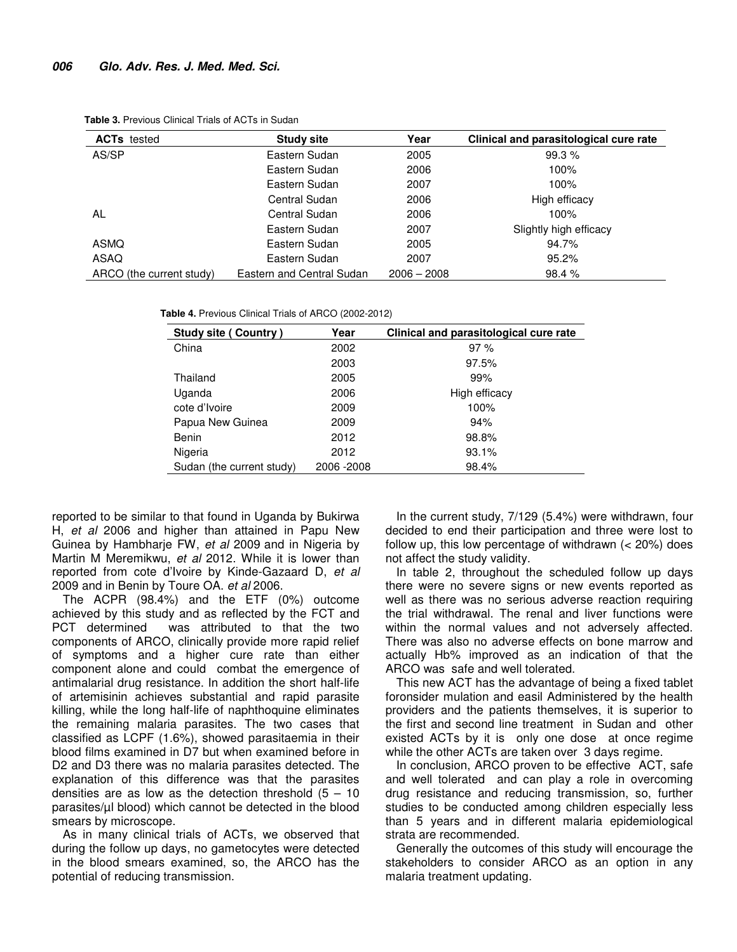| <b>ACTs</b> tested       | <b>Study site</b>         | Year          | Clinical and parasitological cure rate |
|--------------------------|---------------------------|---------------|----------------------------------------|
| AS/SP                    | Eastern Sudan             | 2005          | 99.3%                                  |
|                          | Eastern Sudan             | 2006          | 100%                                   |
|                          | Eastern Sudan             | 2007          | 100%                                   |
|                          | Central Sudan             | 2006          | High efficacy                          |
| AL                       | Central Sudan             | 2006          | 100%                                   |
|                          | Eastern Sudan             | 2007          | Slightly high efficacy                 |
| ASMQ                     | Eastern Sudan             | 2005          | 94.7%                                  |
| ASAQ                     | Eastern Sudan             | 2007          | 95.2%                                  |
| ARCO (the current study) | Eastern and Central Sudan | $2006 - 2008$ | 98.4%                                  |

**Table 3.** Previous Clinical Trials of ACTs in Sudan

**Table 4.** Previous Clinical Trials of ARCO (2002-2012)

| <b>Study site (Country)</b> | Year        | Clinical and parasitological cure rate |
|-----------------------------|-------------|----------------------------------------|
| China                       | 2002        | 97%                                    |
|                             | 2003        | 97.5%                                  |
| Thailand                    | 2005        | 99%                                    |
| Uganda                      | 2006        | High efficacy                          |
| cote d'Ivoire               | 2009        | 100%                                   |
| Papua New Guinea            | 2009        | 94%                                    |
| Benin                       | 2012        | 98.8%                                  |
| Nigeria                     | 2012        | 93.1%                                  |
| Sudan (the current study)   | 2006 - 2008 | 98.4%                                  |

reported to be similar to that found in Uganda by Bukirwa H, *et al* 2006 and higher than attained in Papu New Guinea by Hambharje FW, *et al* 2009 and in Nigeria by Martin M Meremikwu, *et al* 2012. While it is lower than reported from cote d'Ivoire by Kinde-Gazaard D, *et al* 2009 and in Benin by Toure OA. *et al* 2006.

The ACPR (98.4%) and the ETF (0%) outcome achieved by this study and as reflected by the FCT and PCT determined was attributed to that the two components of ARCO, clinically provide more rapid relief of symptoms and a higher cure rate than either component alone and could combat the emergence of antimalarial drug resistance. In addition the short half-life of artemisinin achieves substantial and rapid parasite killing, while the long half-life of naphthoquine eliminates the remaining malaria parasites. The two cases that classified as LCPF (1.6%), showed parasitaemia in their blood films examined in D7 but when examined before in D2 and D3 there was no malaria parasites detected. The explanation of this difference was that the parasites densities are as low as the detection threshold  $(5 - 10)$ parasites/µl blood) which cannot be detected in the blood smears by microscope.

As in many clinical trials of ACTs, we observed that during the follow up days, no gametocytes were detected in the blood smears examined, so, the ARCO has the potential of reducing transmission.

In the current study, 7/129 (5.4%) were withdrawn, four decided to end their participation and three were lost to follow up, this low percentage of withdrawn (< 20%) does not affect the study validity.

In table 2, throughout the scheduled follow up days there were no severe signs or new events reported as well as there was no serious adverse reaction requiring the trial withdrawal. The renal and liver functions were within the normal values and not adversely affected. There was also no adverse effects on bone marrow and actually Hb% improved as an indication of that the ARCO was safe and well tolerated.

This new ACT has the advantage of being a fixed tablet foronsider mulation and easil Administered by the health providers and the patients themselves, it is superior to the first and second line treatment in Sudan and other existed ACTs by it is only one dose at once regime while the other ACTs are taken over 3 days regime.

In conclusion, ARCO proven to be effective ACT, safe and well tolerated and can play a role in overcoming drug resistance and reducing transmission, so, further studies to be conducted among children especially less than 5 years and in different malaria epidemiological strata are recommended.

Generally the outcomes of this study will encourage the stakeholders to consider ARCO as an option in any malaria treatment updating.